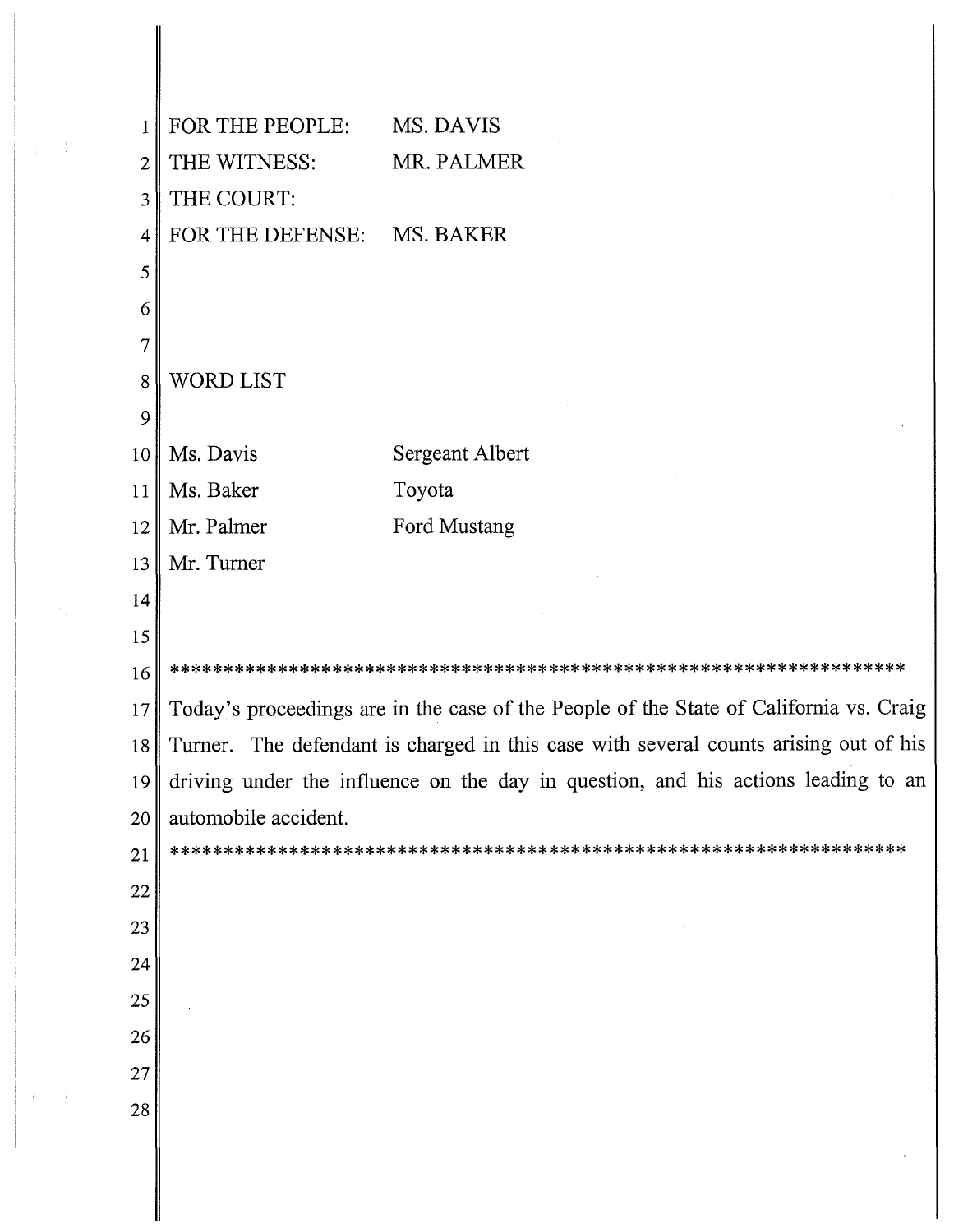| $\mathbf{1}$   | FOR THE PEOPLE:      | MS. DAVIS                                                                              |
|----------------|----------------------|----------------------------------------------------------------------------------------|
| $\overline{2}$ | THE WITNESS:         | MR. PALMER                                                                             |
| 3              | THE COURT:           |                                                                                        |
| $\overline{4}$ | FOR THE DEFENSE:     | MS. BAKER                                                                              |
| 5              |                      |                                                                                        |
| 6              |                      |                                                                                        |
| $\overline{7}$ |                      |                                                                                        |
| 8              | WORD LIST            |                                                                                        |
| 9              |                      |                                                                                        |
| 10             | Ms. Davis            | Sergeant Albert                                                                        |
| 11             | Ms. Baker            | Toyota                                                                                 |
| 12             | Mr. Palmer           | Ford Mustang                                                                           |
| 13             | Mr. Turner           |                                                                                        |
| 14             |                      |                                                                                        |
| 15             |                      |                                                                                        |
| 16             |                      |                                                                                        |
| 17             |                      | Today's proceedings are in the case of the People of the State of California vs. Craig |
| 18             |                      | Turner. The defendant is charged in this case with several counts arising out of his   |
| 19             |                      | driving under the influence on the day in question, and his actions leading to an      |
| 20             | automobile accident. |                                                                                        |
| 21             |                      |                                                                                        |
| $22\,$         |                      |                                                                                        |
| 23             |                      |                                                                                        |
| 24             |                      |                                                                                        |
| 25             |                      |                                                                                        |
| 26             |                      |                                                                                        |
| 27             |                      |                                                                                        |
| 28             |                      |                                                                                        |
|                |                      |                                                                                        |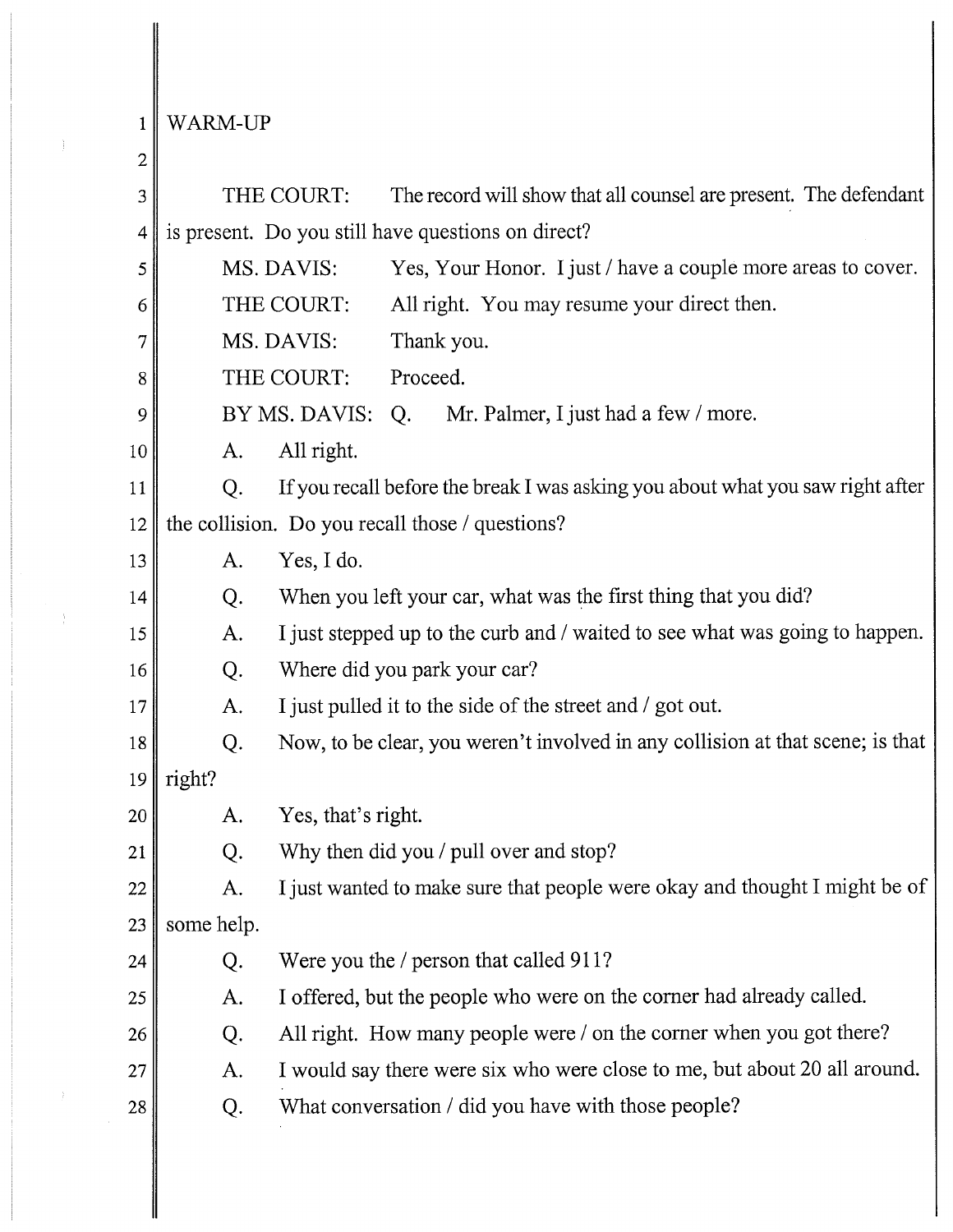$1$  WARM-UP

 $\frac{1}{2}$ 

 $\frac{1}{2}$ 

| $\overline{2}$ |            |                    |                                                                                |
|----------------|------------|--------------------|--------------------------------------------------------------------------------|
| 3              |            | THE COURT:         | The record will show that all counsel are present. The defendant               |
| 4              |            |                    | is present. Do you still have questions on direct?                             |
| 5              |            | MS. DAVIS:         | Yes, Your Honor. I just / have a couple more areas to cover.                   |
| 6              |            | THE COURT:         | All right. You may resume your direct then.                                    |
| 7              |            | MS. DAVIS:         | Thank you.                                                                     |
| 8              |            | THE COURT:         | Proceed.                                                                       |
| 9              |            | BY MS. DAVIS:      | Mr. Palmer, I just had a few / more.<br>Q.                                     |
| 10             | A.         | All right.         |                                                                                |
| 11             | Q.         |                    | If you recall before the break I was asking you about what you saw right after |
| 12             |            |                    | the collision. Do you recall those / questions?                                |
| 13             | A.         | Yes, I do.         |                                                                                |
| 14             | Q.         |                    | When you left your car, what was the first thing that you did?                 |
| 15             | A.         |                    | I just stepped up to the curb and / waited to see what was going to happen.    |
| 16             | Q.         |                    | Where did you park your car?                                                   |
| 17             | A.         |                    | I just pulled it to the side of the street and / got out.                      |
| 18             | Q.         |                    | Now, to be clear, you weren't involved in any collision at that scene; is that |
| 19             | right?     |                    |                                                                                |
| 20             | A.         | Yes, that's right. |                                                                                |
| 21             | Q.         |                    | Why then did you / pull over and stop?                                         |
| 22             | A.         |                    | I just wanted to make sure that people were okay and thought I might be of     |
| 23             | some help. |                    |                                                                                |
| 24             | Q.         |                    | Were you the / person that called 911?                                         |
| 25             | A.         |                    | I offered, but the people who were on the corner had already called.           |
| 26             | Q.         |                    | All right. How many people were / on the corner when you got there?            |
| 27             | A.         |                    | I would say there were six who were close to me, but about 20 all around.      |
| 28             | Q.         |                    | What conversation / did you have with those people?                            |
|                |            |                    |                                                                                |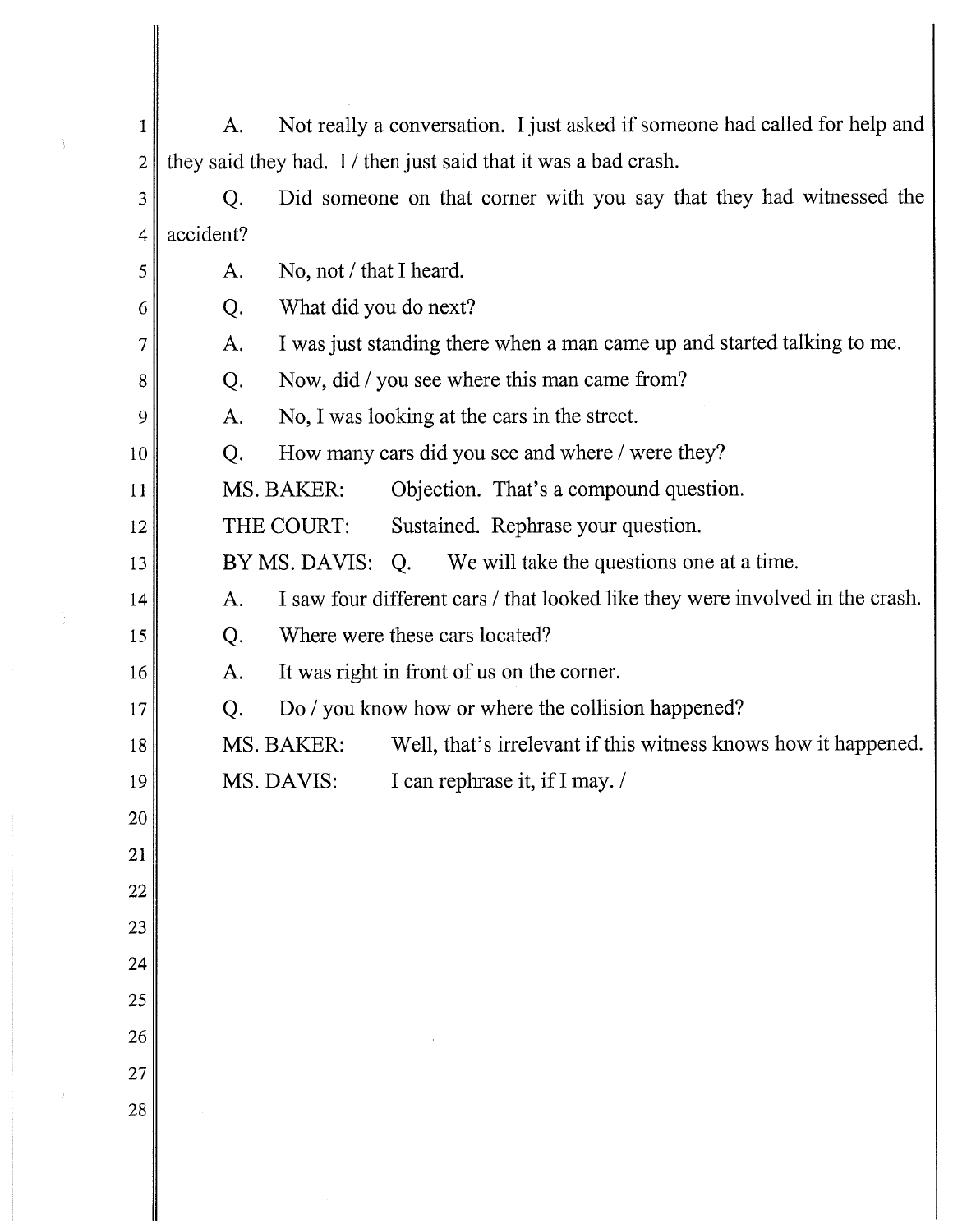| 1              | Not really a conversation. I just asked if someone had called for help and<br>A.    |
|----------------|-------------------------------------------------------------------------------------|
| $\overline{2}$ | they said they had. I / then just said that it was a bad crash.                     |
| 3              | Did someone on that corner with you say that they had witnessed the<br>Q.           |
| 4              | accident?                                                                           |
| 5              | No, not $/$ that I heard.<br>A.                                                     |
| 6              | What did you do next?<br>Q.                                                         |
| 7              | I was just standing there when a man came up and started talking to me.<br>A.       |
| 8              | Now, did / you see where this man came from?<br>Q.                                  |
| 9              | No, I was looking at the cars in the street.<br>A.                                  |
| 10             | How many cars did you see and where / were they?<br>Q.                              |
| 11             | Objection. That's a compound question.<br>MS. BAKER:                                |
| 12             | THE COURT:<br>Sustained. Rephrase your question.                                    |
| 13             | BY MS. DAVIS:<br>We will take the questions one at a time.<br>Q.                    |
| 14             | I saw four different cars / that looked like they were involved in the crash.<br>A. |
| 15             | Where were these cars located?<br>Q.                                                |
| 16             | It was right in front of us on the corner.<br>A.                                    |
| 17             | Do / you know how or where the collision happened?<br>Q.                            |
| 18             | Well, that's irrelevant if this witness knows how it happened.<br>MS. BAKER:        |
| 19             | I can rephrase it, if I may. /<br>MS. DAVIS:                                        |
| 20             |                                                                                     |
| 21             |                                                                                     |
| 22             |                                                                                     |
| 23             |                                                                                     |
| 24             |                                                                                     |
| 25             |                                                                                     |
| 26             |                                                                                     |
| 27             |                                                                                     |
| 28             |                                                                                     |
|                |                                                                                     |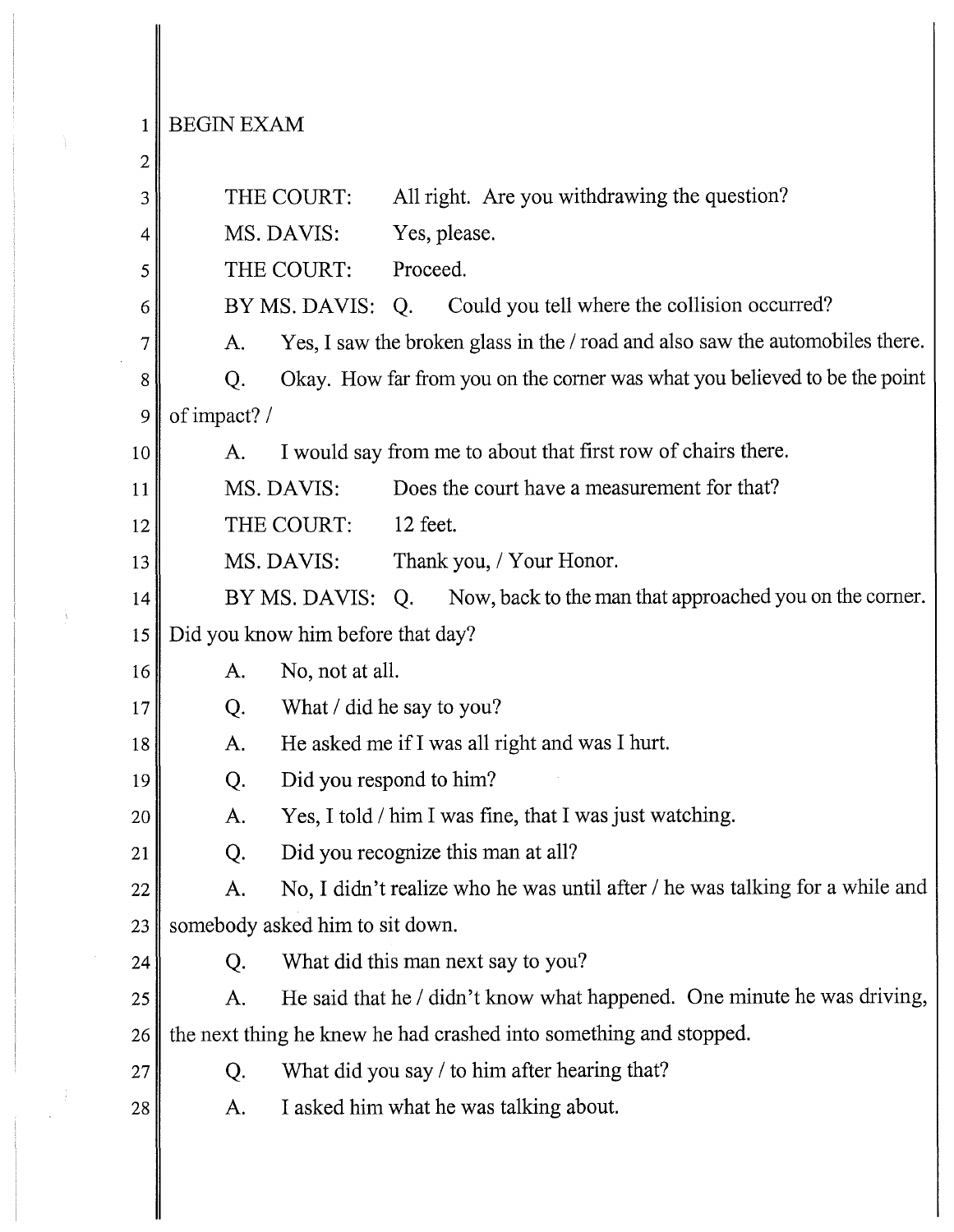$1$  BEGIN EXAM

À

Ŷ,

| 2  |                                                                                     |  |  |
|----|-------------------------------------------------------------------------------------|--|--|
| 3  | All right. Are you withdrawing the question?<br>THE COURT:                          |  |  |
| 4  | MS. DAVIS:<br>Yes, please.                                                          |  |  |
| 5  | THE COURT:<br>Proceed.                                                              |  |  |
| 6  | BY MS. DAVIS:<br>Could you tell where the collision occurred?<br>Q <sub>r</sub>     |  |  |
| 7  | Yes, I saw the broken glass in the / road and also saw the automobiles there.<br>A. |  |  |
| 8  | Okay. How far from you on the corner was what you believed to be the point<br>Q.    |  |  |
| 9  | of impact? /                                                                        |  |  |
| 10 | I would say from me to about that first row of chairs there.<br>A.                  |  |  |
| 11 | Does the court have a measurement for that?<br>MS. DAVIS:                           |  |  |
| 12 | THE COURT:<br>12 feet.                                                              |  |  |
| 13 | MS. DAVIS:<br>Thank you, / Your Honor.                                              |  |  |
| 14 | Now, back to the man that approached you on the corner.<br>BY MS. DAVIS: Q.         |  |  |
| 15 | Did you know him before that day?                                                   |  |  |
| 16 | No, not at all.<br>A.                                                               |  |  |
| 17 | What / did he say to you?<br>Q.                                                     |  |  |
| 18 | He asked me if I was all right and was I hurt.<br>A.                                |  |  |
| 19 | Did you respond to him?<br>Q.                                                       |  |  |
| 20 | Yes, I told / him I was fine, that I was just watching.<br>A.                       |  |  |
| 21 | Did you recognize this man at all?<br>Q.                                            |  |  |
| 22 | No, I didn't realize who he was until after / he was talking for a while and<br>A.  |  |  |
| 23 | somebody asked him to sit down.                                                     |  |  |
| 24 | What did this man next say to you?<br>Q.                                            |  |  |
| 25 | He said that he / didn't know what happened. One minute he was driving,<br>A.       |  |  |
| 26 | the next thing he knew he had crashed into something and stopped.                   |  |  |
| 27 | What did you say / to him after hearing that?<br>Q.                                 |  |  |
| 28 | I asked him what he was talking about.<br>A.                                        |  |  |
|    |                                                                                     |  |  |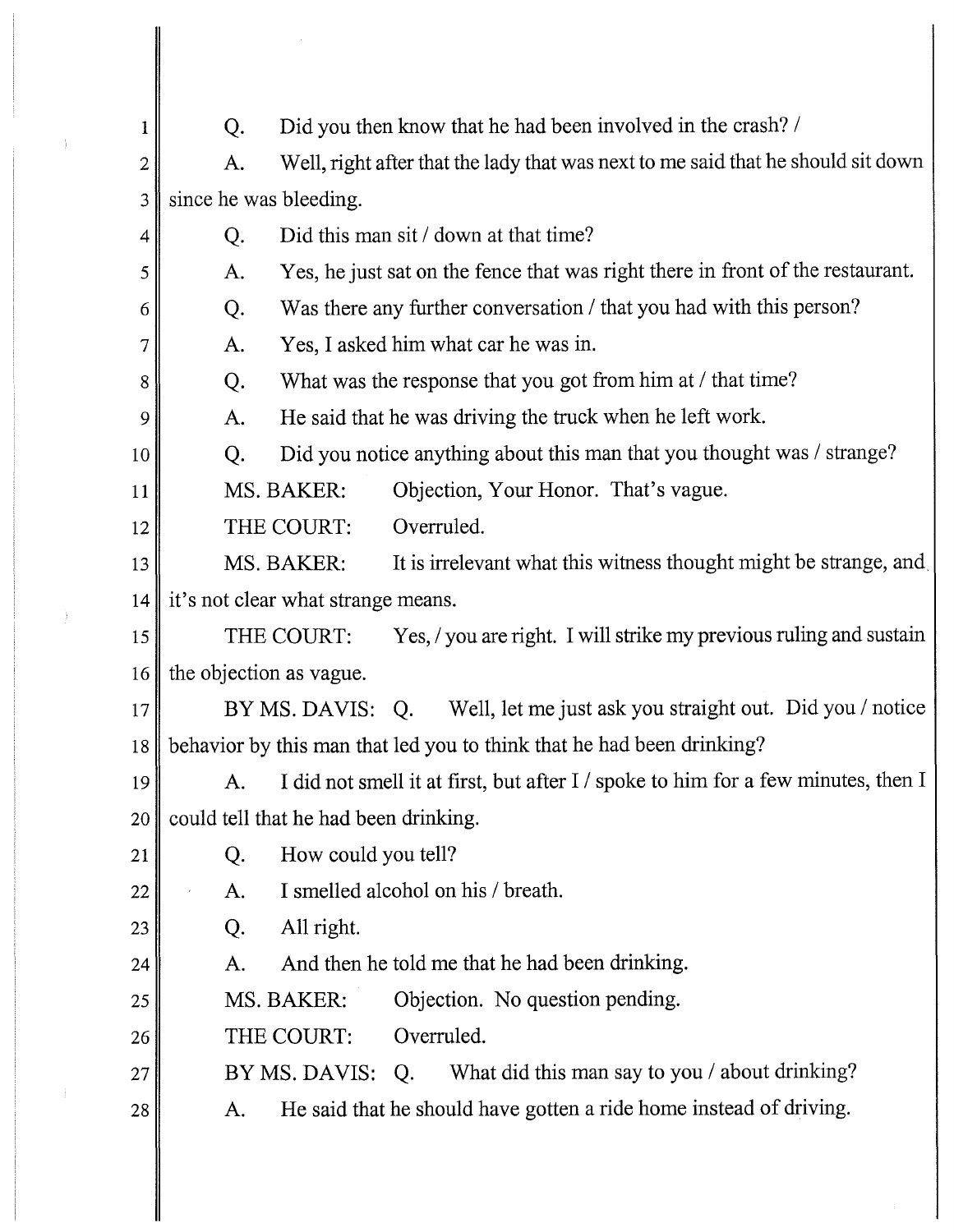| 1  | Did you then know that he had been involved in the crash? /<br>Q.                       |
|----|-----------------------------------------------------------------------------------------|
| 2  | Well, right after that the lady that was next to me said that he should sit down<br>A.  |
| 3  | since he was bleeding.                                                                  |
| 4  | Did this man sit / down at that time?<br>Q.                                             |
| 5  | Yes, he just sat on the fence that was right there in front of the restaurant.<br>A.    |
| 6  | Was there any further conversation / that you had with this person?<br>Q.               |
| 7  | Yes, I asked him what car he was in.<br>A.                                              |
| 8  | What was the response that you got from him at / that time?<br>Q.                       |
| 9  | He said that he was driving the truck when he left work.<br>A.                          |
| 10 | Did you notice anything about this man that you thought was / strange?<br>Q.            |
| 11 | Objection, Your Honor. That's vague.<br>MS. BAKER:                                      |
| 12 | THE COURT:<br>Overruled.                                                                |
| 13 | It is irrelevant what this witness thought might be strange, and<br>MS. BAKER:          |
| 14 | it's not clear what strange means.                                                      |
| 15 | Yes, / you are right. I will strike my previous ruling and sustain<br>THE COURT:        |
| 16 | the objection as vague.                                                                 |
| 17 | Well, let me just ask you straight out. Did you / notice<br>BY MS. DAVIS: Q.            |
| 18 | behavior by this man that led you to think that he had been drinking?                   |
| 19 | I did not smell it at first, but after I / spoke to him for a few minutes, then I<br>A. |
| 20 | could tell that he had been drinking.                                                   |
| 21 | How could you tell?<br>Q.                                                               |
| 22 | I smelled alcohol on his / breath.<br>A.                                                |
| 23 | All right.<br>Q.                                                                        |
| 24 | And then he told me that he had been drinking.<br>A.                                    |
| 25 | MS. BAKER:<br>Objection. No question pending.                                           |
| 26 | Overruled.<br>THE COURT:                                                                |
| 27 | What did this man say to you / about drinking?<br>BY MS. DAVIS:<br>Q.                   |
| 28 | He said that he should have gotten a ride home instead of driving.<br>A.                |
|    |                                                                                         |

 $\label{eq:2.1} \mathcal{L}(\mathcal{L}^{\text{max}}_{\mathcal{L}}(\mathcal{L}^{\text{max}}_{\mathcal{L}}))\leq \mathcal{L}(\mathcal{L}^{\text{max}}_{\mathcal{L}}(\mathcal{L}^{\text{max}}_{\mathcal{L}}))$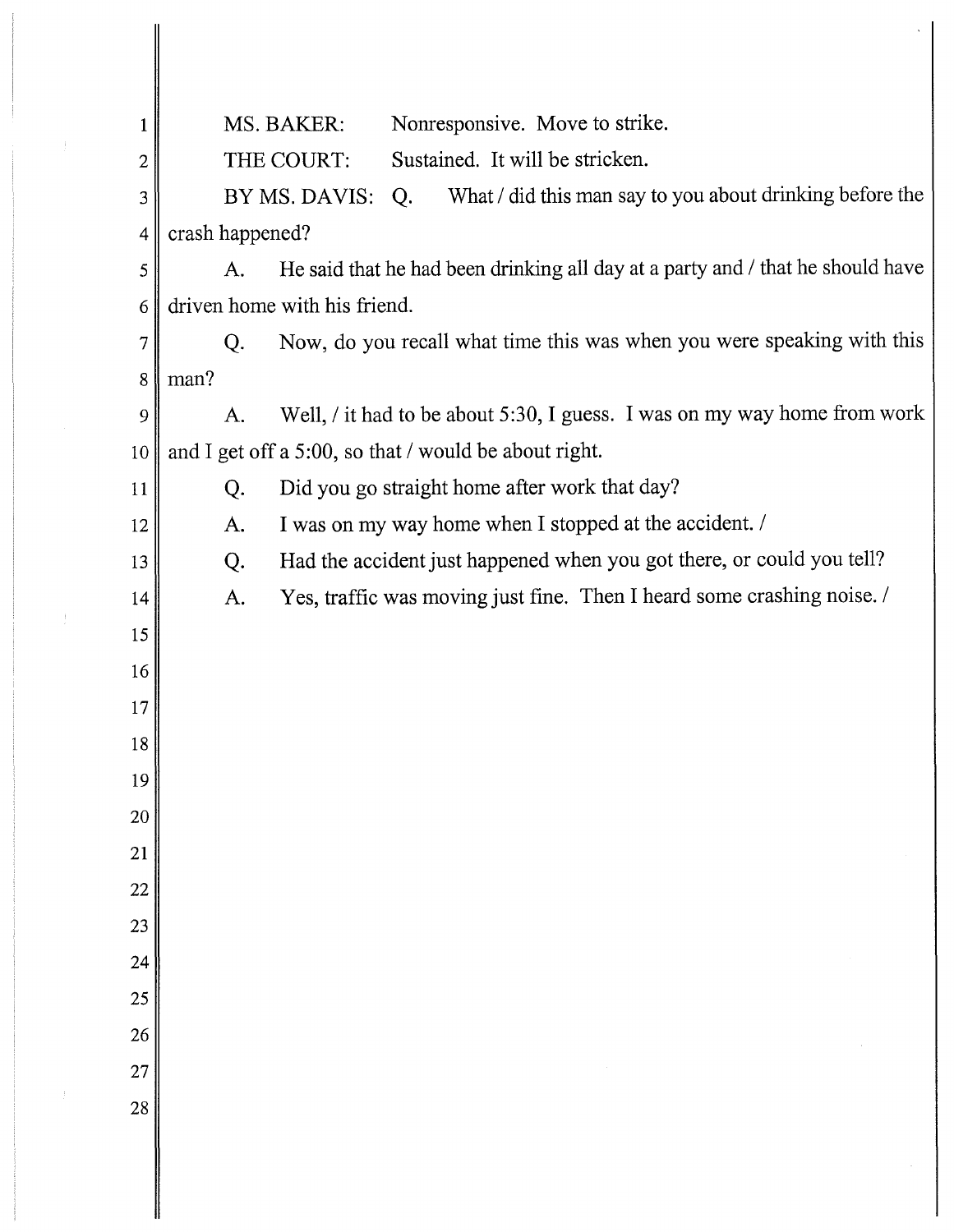| 1              | Nonresponsive. Move to strike.<br>MS. BAKER:                                              |
|----------------|-------------------------------------------------------------------------------------------|
|                | THE COURT:<br>Sustained. It will be stricken.<br>$\overline{2}$                           |
| 3              | What / did this man say to you about drinking before the<br>BY MS. DAVIS:<br>Q.           |
|                | crash happened?<br>4                                                                      |
|                | He said that he had been drinking all day at a party and / that he should have<br>A.<br>5 |
|                | driven home with his friend.<br>6                                                         |
| $\overline{7}$ | Now, do you recall what time this was when you were speaking with this<br>Q.              |
|                | man?<br>$8\,$                                                                             |
|                | Well, / it had to be about 5:30, I guess. I was on my way home from work<br>A.<br>9       |
| 10             | and I get off a 5:00, so that / would be about right.                                     |
| 11             | Did you go straight home after work that day?<br>Q.                                       |
| 12             | I was on my way home when I stopped at the accident. /<br>A.                              |
| 13             | Had the accident just happened when you got there, or could you tell?<br>Q.               |
| 14             | Yes, traffic was moving just fine. Then I heard some crashing noise.<br>A.                |
| 15             |                                                                                           |
| 16             |                                                                                           |
| 17             |                                                                                           |
| $18\,$         |                                                                                           |
| 19             |                                                                                           |
| 20             |                                                                                           |
| 21             |                                                                                           |
| $22\,$         |                                                                                           |
| 23             |                                                                                           |
| 24             |                                                                                           |
| 25             |                                                                                           |
| 26             |                                                                                           |
| 27             |                                                                                           |
| 28             |                                                                                           |
|                |                                                                                           |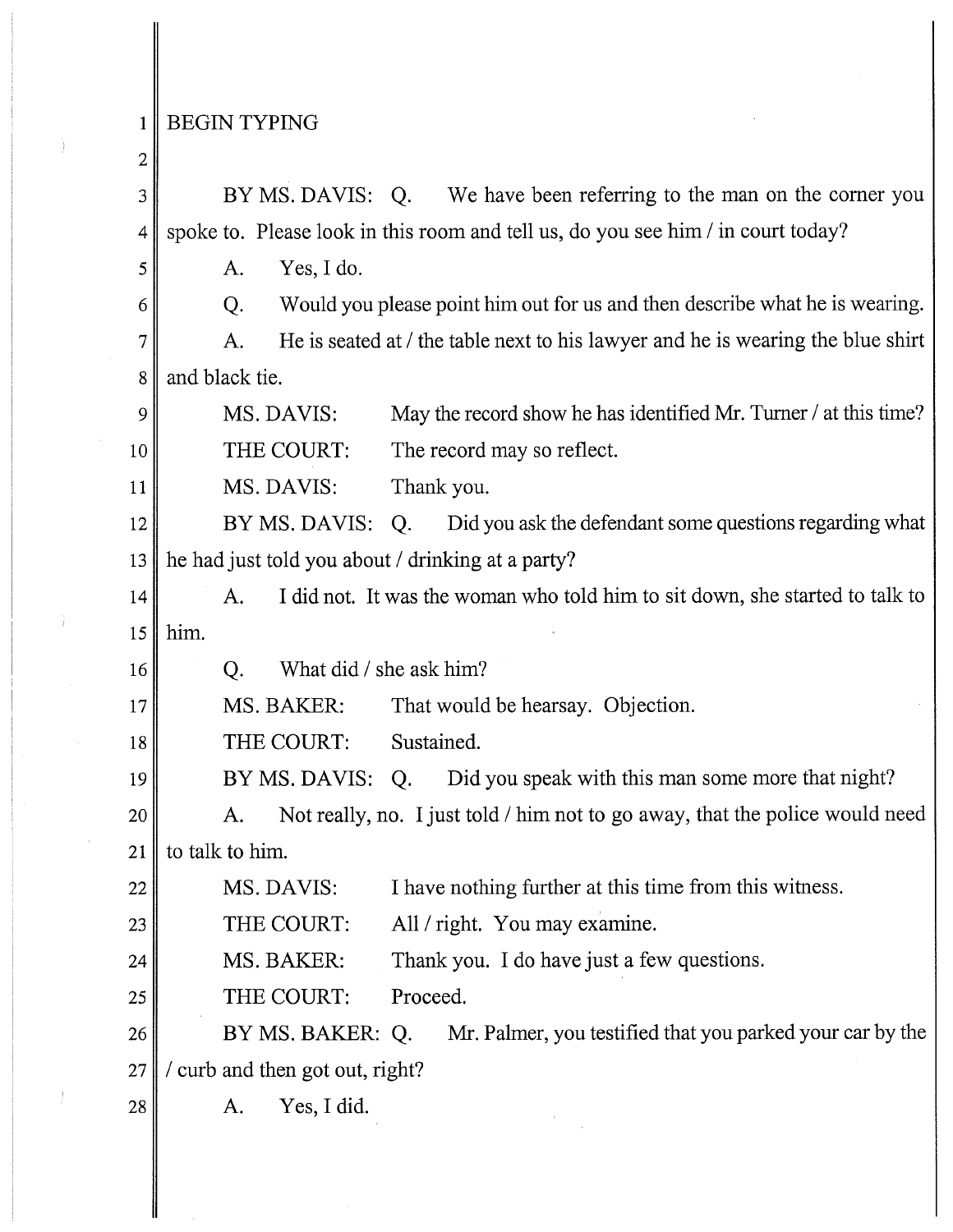## 1 BEGIN TYPING

## 2

17

3 BY MS. DAVIS: Q. We have been referring to the man on the corner you 4 spoke to. Please look in this room and tell us, do you see him/ in court today?

 $5$  A. Yes, I do.

 $6 \parallel$  Q. Would you please point him out for us and then describe what he is wearing.

 $7 \parallel$  A. He is seated at / the table next to his lawyer and he is wearing the blue shirt 8 and black tie.

9 MS. DAVIS: May the record show he has identified Mr. Turner / at this time? 10 THE COURT: The record may so reflect.

11 MS.DAVIS: Thank you.

12 BY MS. DAVIS: Q. Did you ask the defendant some questions regarding what 13  $\parallel$  he had just told you about / drinking at a party?

14 A. I did not. It was the woman who told him to sit down, she started to talk to 15  $\parallel$  him.

16 Q. What did/ she ask him?

MS. BAKER: That would be hearsay. Objection.

18 THE COURT: Sustained.

19 BY MS. DAVIS: Q. Did you speak with this man some more that night?

20 A. Not really, no. I just told / him not to go away, that the police would need 21 | to talk to him.

22 MS.DAVIS: I have nothing further at this time from this witness.

23 THE COURT: All / right. You may examine.

24 MS. BAKER: Thank you. I do have just a few questions.

25 THE COURT: Proceed.

26 BY MS. BAKER: Q. Mr. Palmer, you testified that you parked your car by the  $27$  / curb and then got out, right?

 $28$  A. Yes, I did.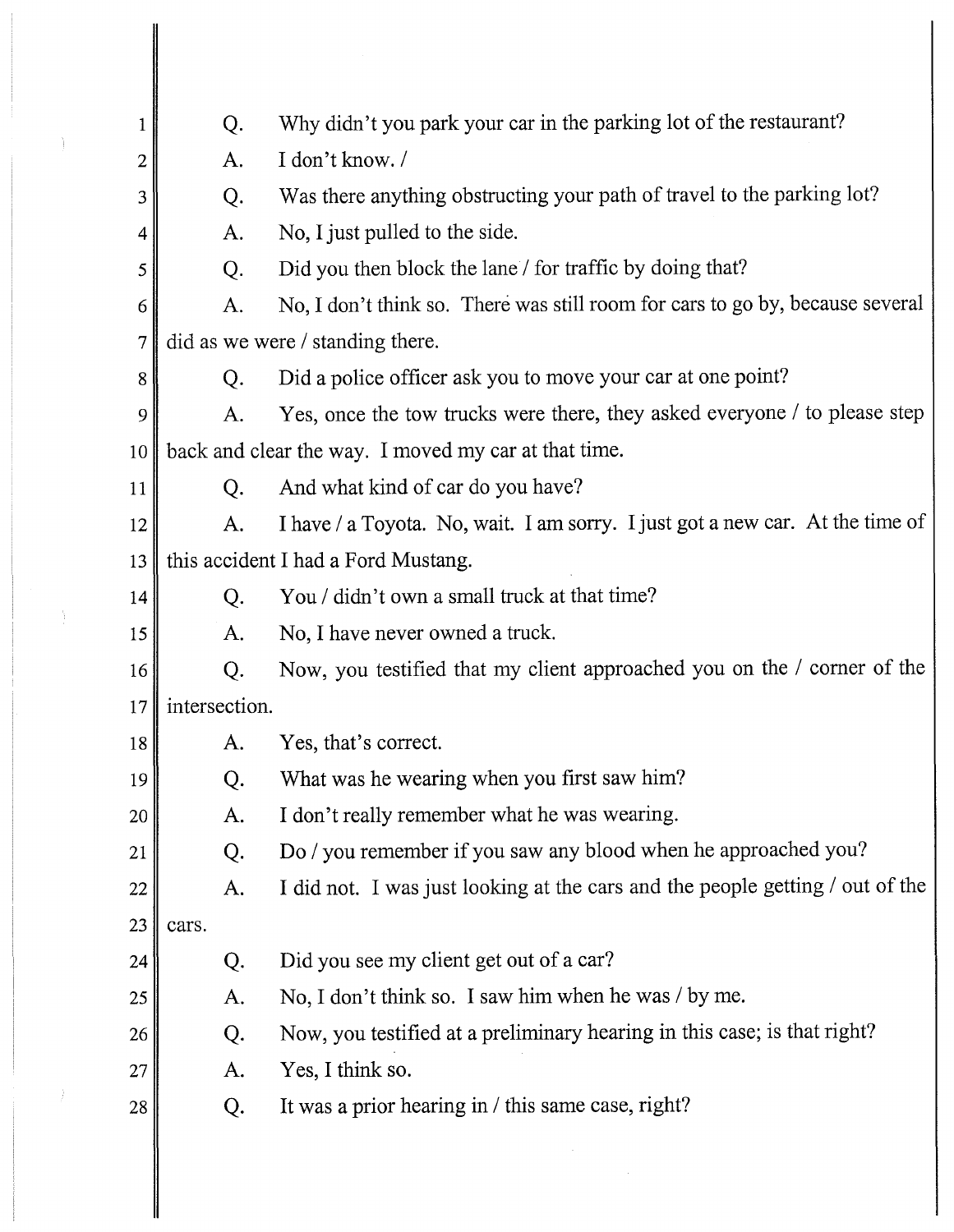| $\mathbf{1}$     | Q.            | Why didn't you park your car in the parking lot of the restaurant?            |
|------------------|---------------|-------------------------------------------------------------------------------|
| $\boldsymbol{2}$ | A.            | I don't know. /                                                               |
| 3                | Q.            | Was there anything obstructing your path of travel to the parking lot?        |
| 4                | A.            | No, I just pulled to the side.                                                |
| 5                | Q.            | Did you then block the lane / for traffic by doing that?                      |
| 6                | A.            | No, I don't think so. There was still room for cars to go by, because several |
| $\overline{7}$   |               | did as we were / standing there.                                              |
| 8                | Q.            | Did a police officer ask you to move your car at one point?                   |
| 9                | A.            | Yes, once the tow trucks were there, they asked everyone / to please step     |
| 10               |               | back and clear the way. I moved my car at that time.                          |
| 11               | Q.            | And what kind of car do you have?                                             |
| 12               | A.            | I have / a Toyota. No, wait. I am sorry. I just got a new car. At the time of |
| 13               |               | this accident I had a Ford Mustang.                                           |
| 14               | Q.            | You / didn't own a small truck at that time?                                  |
| 15               | A.            | No, I have never owned a truck.                                               |
| 16               | Q.            | Now, you testified that my client approached you on the / corner of the       |
| 17               | intersection. |                                                                               |
| 18               | A.            | Yes, that's correct.                                                          |
| 19               | Q.            | What was he wearing when you first saw him?                                   |
| 20               | A.            | I don't really remember what he was wearing.                                  |
| 21               | Q.            | Do / you remember if you saw any blood when he approached you?                |
| 22               | A.            | I did not. I was just looking at the cars and the people getting / out of the |
| 23               | cars.         |                                                                               |
| 24               | Q.            | Did you see my client get out of a car?                                       |
| 25               | A.            | No, I don't think so. I saw him when he was / by me.                          |
| 26               | Q.            | Now, you testified at a preliminary hearing in this case; is that right?      |
| 27               | A.            | Yes, I think so.                                                              |
| 28               | Q.            | It was a prior hearing in / this same case, right?                            |
|                  |               |                                                                               |
|                  |               |                                                                               |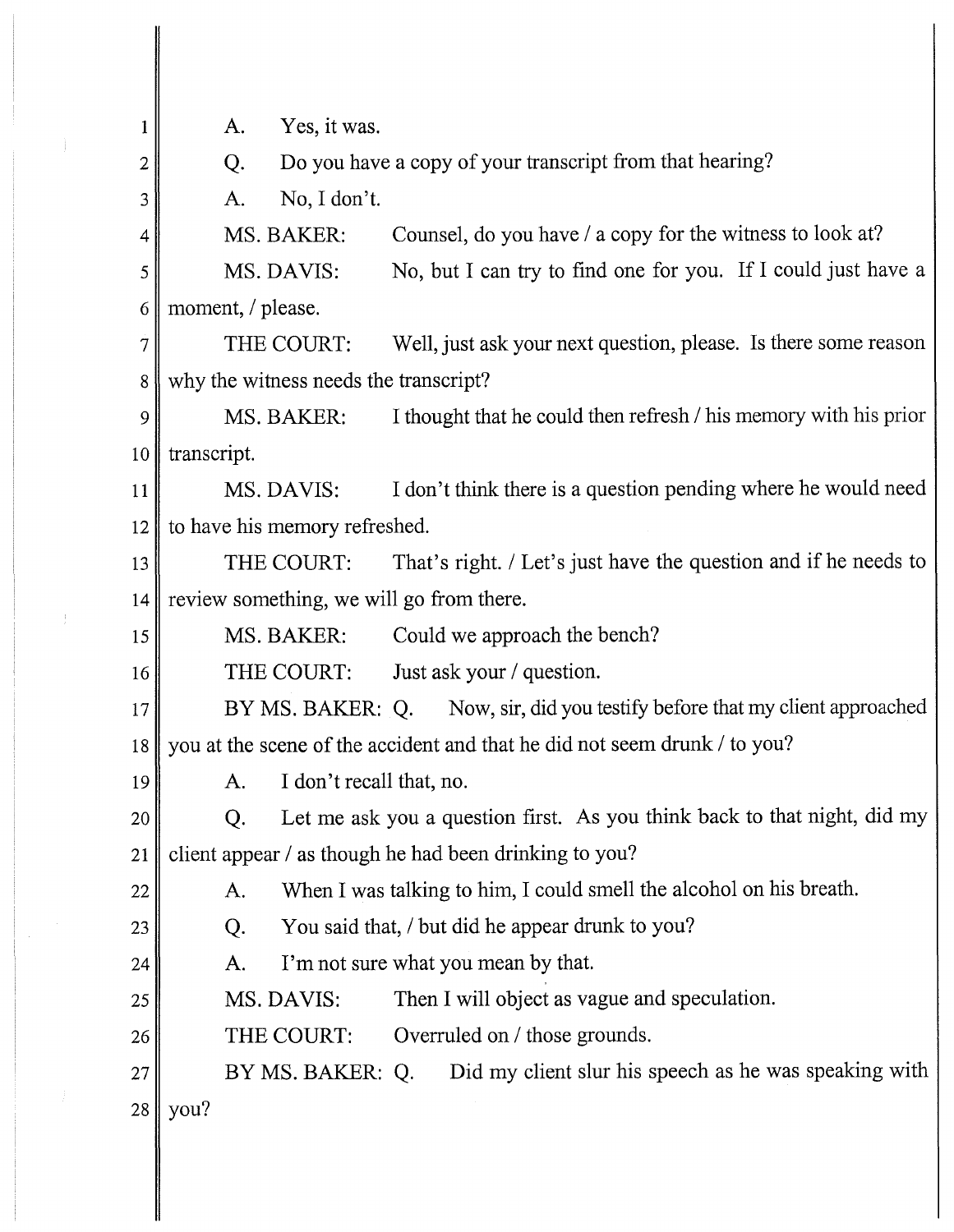1 2 3 4 5 A. Yes, it was. Q. Do you have a copy of your transcript from that hearing? A. No, I don't. MS. BAKER: Counsel, do you have / a copy for the witness to look at? MS. DAVIS: No, but I can try to find one for you. If I could just have a 6 || moment, / please.  $7$  THE COURT: Well, just ask your next question, please. Is there some reason 8 why the witness needs the transcript? 9 MS. BAKER: I thought that he could then refresh / his memory with his prior  $10$  transcript. 11 MS. DAVIS: I don't think there is a question pending where he would need 12 to have his memory refreshed. 13 THE COURT: That's right. / Let's just have the question and if he needs to 14 review something, we will go from there. 15 MS. BAKER: Could we approach the bench? 16 THE COURT: Just ask your / question. 17 BY MS. BAKER: Q. Now, sir, did you testify before that my client approached 18 you at the scene of the accident and that he did not seem drunk/ to you? 19  $\parallel$  A. I don't recall that, no. 20 Q. Let me ask you a question first. As you think back to that night, did my 21 client appear / as though he had been drinking to you?  $22$  A. When I was talking to him, I could smell the alcohol on his breath. 23 Q. You said that, *I* but did he appear drunk to you? 24 25 26 27  $28$  you? A. I'm not sure what you mean by that. MS. DAVIS: Then I will object as vague and speculation. THE COURT: Overruled on / those grounds. BY MS. BAKER: Q. Did my client slur his speech as he was speaking with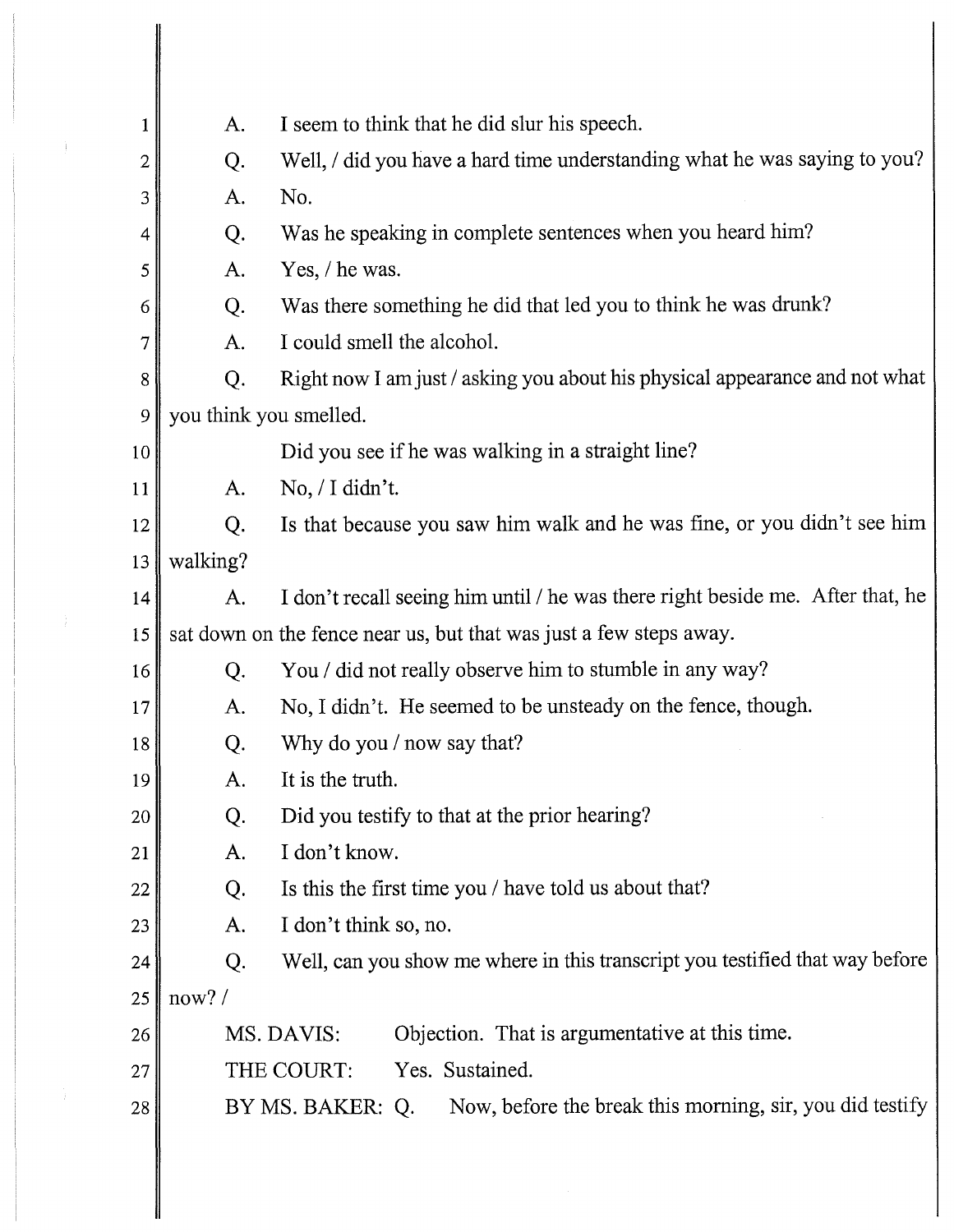| $\mathbf 1$ | A.                     | I seem to think that he did slur his speech.                                   |
|-------------|------------------------|--------------------------------------------------------------------------------|
| 2           | Q.                     | Well, / did you have a hard time understanding what he was saying to you?      |
| 3           | A.                     | No.                                                                            |
| 4           | Q.                     | Was he speaking in complete sentences when you heard him?                      |
| 5           | A.                     | Yes, / he was.                                                                 |
| 6           | Q.                     | Was there something he did that led you to think he was drunk?                 |
| 7           | A.                     | I could smell the alcohol.                                                     |
| 8           | Q.                     | Right now I am just / asking you about his physical appearance and not what    |
| 9           | you think you smelled. |                                                                                |
| 10          |                        | Did you see if he was walking in a straight line?                              |
| 11          | A.                     | $No, / I$ didn't.                                                              |
| 12          | Q.                     | Is that because you saw him walk and he was fine, or you didn't see him        |
| 13          | walking?               |                                                                                |
| 14          | A.                     | I don't recall seeing him until / he was there right beside me. After that, he |
| 15          |                        | sat down on the fence near us, but that was just a few steps away.             |
| 16          | Q.                     | You / did not really observe him to stumble in any way?                        |
| 17          | A.                     | No, I didn't. He seemed to be unsteady on the fence, though.                   |
| 18          | Q.                     | Why do you / now say that?                                                     |
| 19          | A.                     | It is the truth.                                                               |
| 20          | Q.                     | Did you testify to that at the prior hearing?                                  |
| 21          | A.                     | I don't know.                                                                  |
| 22          | Q.                     | Is this the first time you / have told us about that?                          |
| 23          | A.                     | I don't think so, no.                                                          |
| 24          | Q.                     | Well, can you show me where in this transcript you testified that way before   |
| 25          | now?/                  |                                                                                |
| 26          |                        | Objection. That is argumentative at this time.<br>MS. DAVIS:                   |
| 27          |                        | Yes. Sustained.<br>THE COURT:                                                  |
| 28          |                        | Now, before the break this morning, sir, you did testify<br>BY MS. BAKER: Q.   |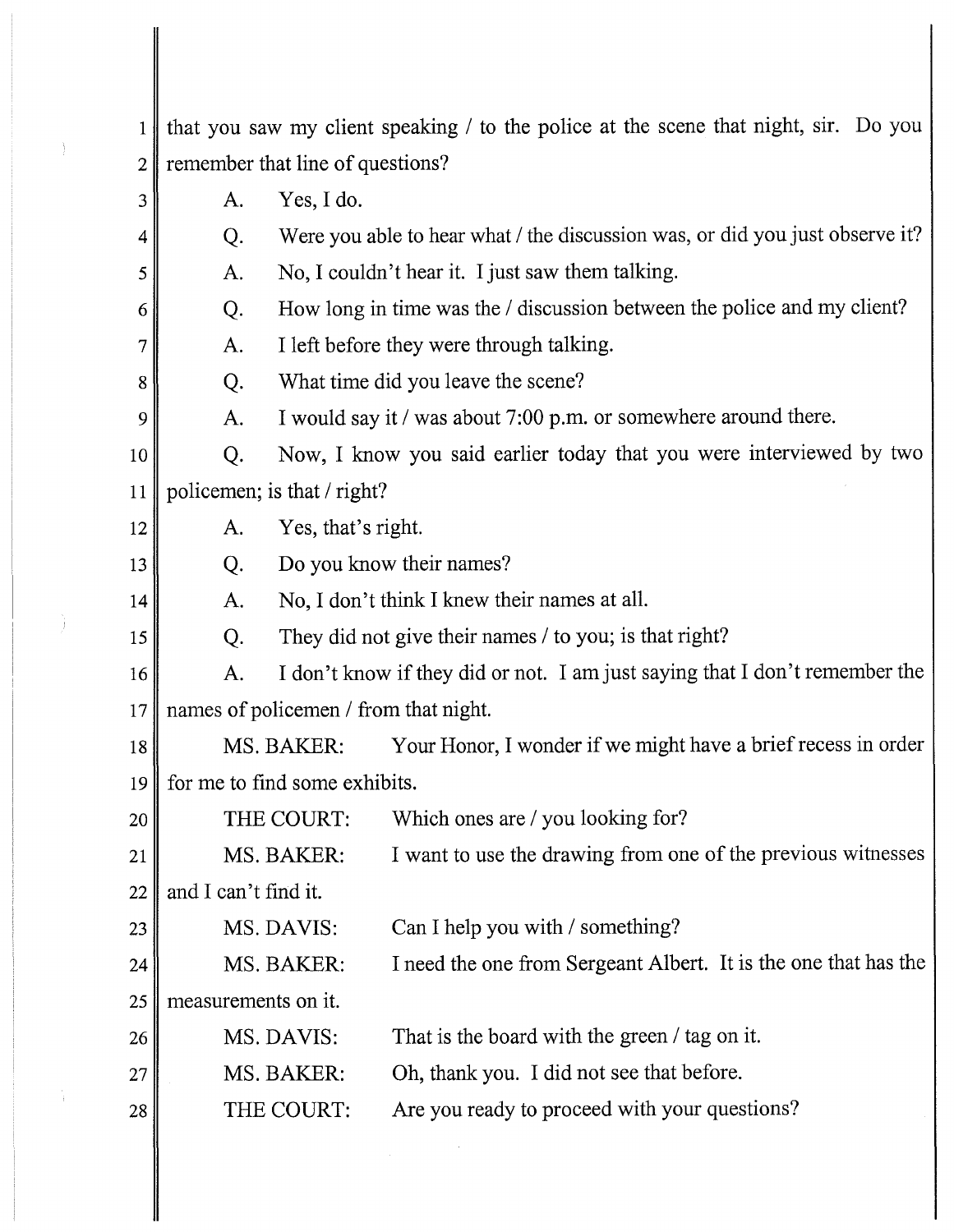1 that you saw my client speaking / to the police at the scene that night, sir. Do you 2 remember that line of questions?  $3$  A. Yes, I do.

- 4 Q. Were you able to hear what / the discussion was, or did you just observe it?
- $5 \parallel$  A. No, I couldn't hear it. I just saw them talking.
- 6 Q. How long in time was the / discussion between the police and my client?
- $7 \parallel$  A. I left before they were through talking.
- 8 Q. What time did you leave the scene?
	- A. I would say it / was about 7:00 p.m. or somewhere around there.

10 Q. Now, I know you said earlier today that you were interviewed by two 11 policemen; is that / right?

12  $\parallel$  A. Yes, that's right.

9

13

14

15

27

- Q. Do you know their names?
	- A. No, I don't think I knew their names at all.
	- Q. They did not give their names/ to you; is that right?
- 16 A. I don't know if they did or not. I am just saying that I don't remember the 17 names of policemen / from that night.
- 18 MS. BAKER: Your Honor, I wonder if we might have a brief recess in order 19 for me to find some exhibits.
- 20 THE COURT: Which ones are / you looking for?
- 21 MS.BAKER: I want to use the drawing from one of the previous witnesses

22  $\parallel$  and I can't find it.

- $23$  MS. DAVIS: Can I help you with / something?
- 24 MS. BAKER: I need the one from Sergeant Albert. It is the one that has the

25 measurements on it.

- 26 MS.DAVIS: That is the board with the green/ tag on it.
	- MS.BAKER: Oh, thank you. I did not see that before.
- 28 THE COURT: Are you ready to proceed with your questions?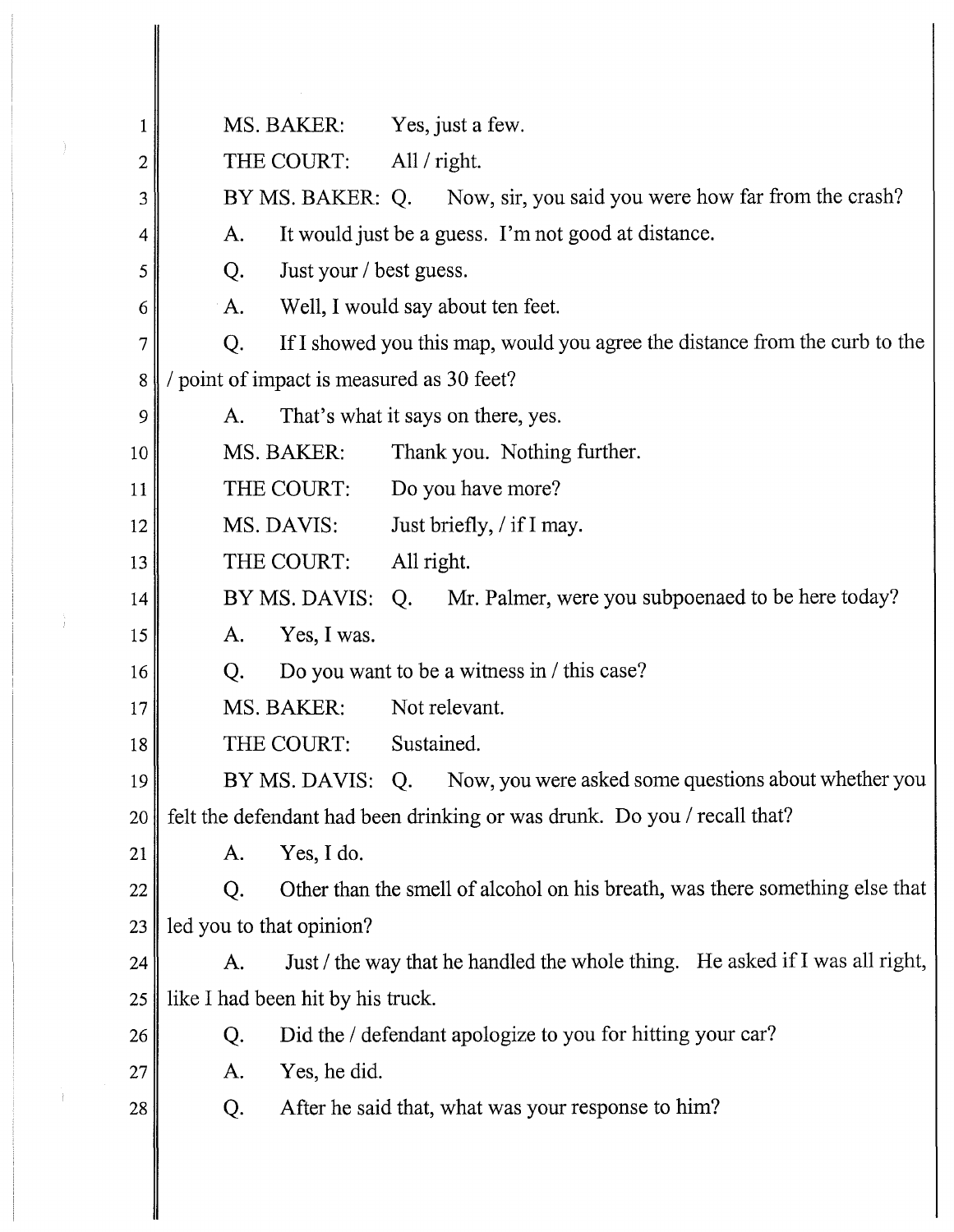| 1  | MS. BAKER:                              | Yes, just a few.                                                             |
|----|-----------------------------------------|------------------------------------------------------------------------------|
| 2  | THE COURT:                              | All / right.                                                                 |
| 3  |                                         | BY MS. BAKER: Q. Now, sir, you said you were how far from the crash?         |
| 4  | A.                                      | It would just be a guess. I'm not good at distance.                          |
| 5  | Just your / best guess.<br>Q.           |                                                                              |
| 6  | A.                                      | Well, I would say about ten feet.                                            |
| 7  | Q.                                      | If I showed you this map, would you agree the distance from the curb to the  |
| 8  | point of impact is measured as 30 feet? |                                                                              |
| 9  | A.                                      | That's what it says on there, yes.                                           |
| 10 | MS. BAKER:                              | Thank you. Nothing further.                                                  |
| 11 | THE COURT:                              | Do you have more?                                                            |
| 12 | MS. DAVIS:                              | Just briefly, / if I may.                                                    |
| 13 | THE COURT:                              | All right.                                                                   |
| 14 |                                         | BY MS. DAVIS: Q. Mr. Palmer, were you subpoenaed to be here today?           |
| 15 | Yes, I was.<br>A.                       |                                                                              |
| 16 | Q.                                      | Do you want to be a witness in / this case?                                  |
| 17 | MS. BAKER:                              | Not relevant.                                                                |
| 18 | THE COURT:                              | Sustained.                                                                   |
| 19 | BY MS. DAVIS: Q.                        | Now, you were asked some questions about whether you                         |
| 20 |                                         | felt the defendant had been drinking or was drunk. Do you / recall that?     |
| 21 | Yes, I do.<br>A.                        |                                                                              |
| 22 | Q.                                      | Other than the smell of alcohol on his breath, was there something else that |
| 23 | led you to that opinion?                |                                                                              |
| 24 | A.                                      | Just / the way that he handled the whole thing. He asked if I was all right, |
| 25 | like I had been hit by his truck.       |                                                                              |
| 26 | Q.                                      | Did the / defendant apologize to you for hitting your car?                   |
| 27 | Yes, he did.<br>A.                      |                                                                              |
| 28 | Q.                                      | After he said that, what was your response to him?                           |
|    |                                         |                                                                              |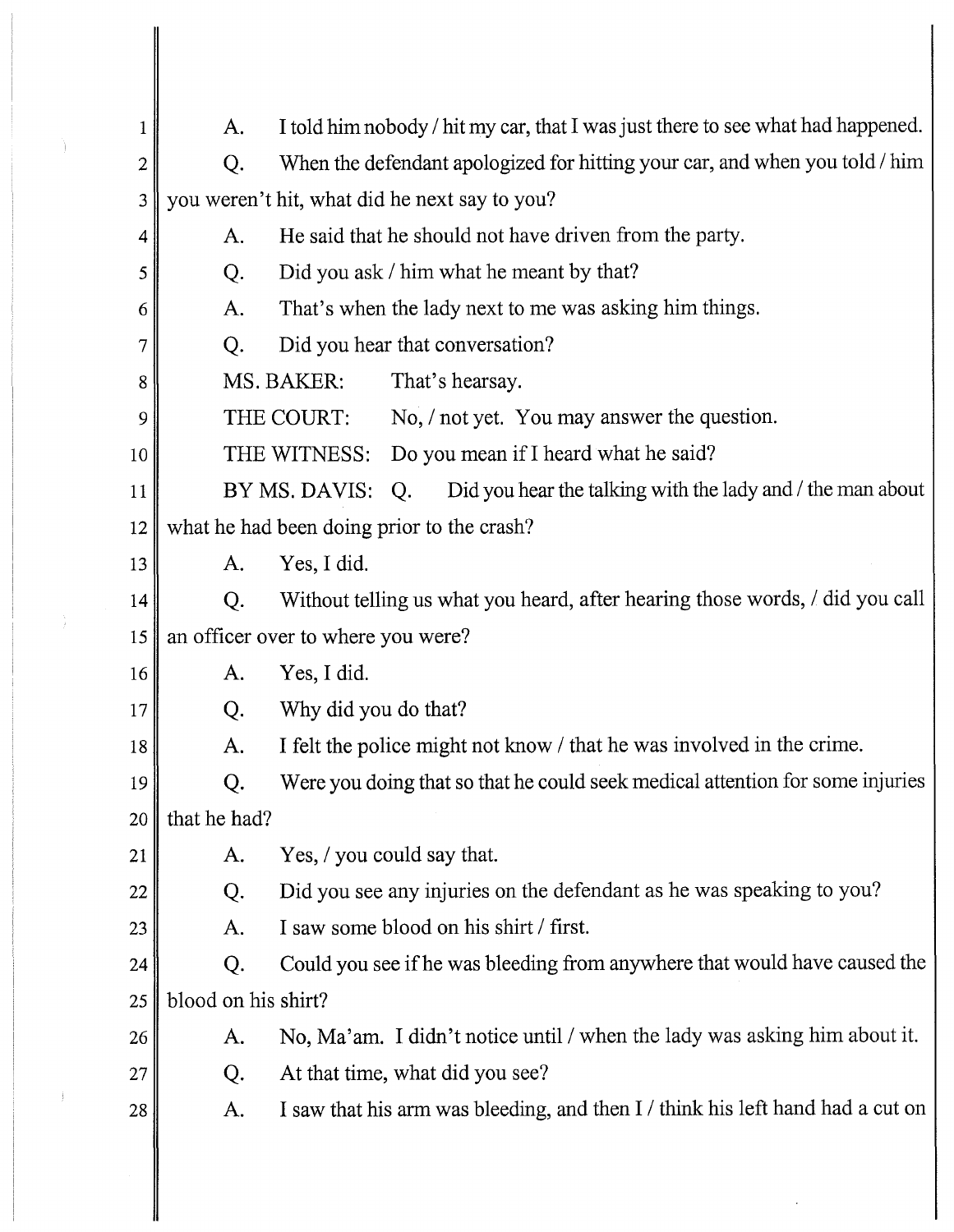| 1                       | A.                  | I told him nobody / hit my car, that I was just there to see what had happened. |
|-------------------------|---------------------|---------------------------------------------------------------------------------|
| $\overline{\mathbf{c}}$ | Q.                  | When the defendant apologized for hitting your car, and when you told / him     |
| 3                       |                     | you weren't hit, what did he next say to you?                                   |
| 4                       | A.                  | He said that he should not have driven from the party.                          |
| 5                       | Q.                  | Did you ask / him what he meant by that?                                        |
| 6                       | A.                  | That's when the lady next to me was asking him things.                          |
| 7                       | Q.                  | Did you hear that conversation?                                                 |
| 8                       |                     | That's hearsay.<br>MS. BAKER:                                                   |
| 9                       |                     | No, / not yet. You may answer the question.<br>THE COURT:                       |
| 10                      |                     | THE WITNESS:<br>Do you mean if I heard what he said?                            |
| 11                      |                     | Did you hear the talking with the lady and / the man about<br>BY MS. DAVIS: Q.  |
| 12                      |                     | what he had been doing prior to the crash?                                      |
| 13                      | A.                  | Yes, I did.                                                                     |
| 14                      | Q.                  | Without telling us what you heard, after hearing those words, / did you call    |
| 15                      |                     | an officer over to where you were?                                              |
| 16                      | A.                  | Yes, I did.                                                                     |
| 17                      | Q.                  | Why did you do that?                                                            |
| 18                      | A.                  | I felt the police might not know / that he was involved in the crime.           |
| 19                      | Q.                  | Were you doing that so that he could seek medical attention for some injuries   |
| 20                      | that he had?        |                                                                                 |
| 21                      | A.                  | Yes, / you could say that.                                                      |
| 22                      | Q.                  | Did you see any injuries on the defendant as he was speaking to you?            |
| 23                      | A.                  | I saw some blood on his shirt / first.                                          |
| 24                      | Q.                  | Could you see if he was bleeding from anywhere that would have caused the       |
| 25                      | blood on his shirt? |                                                                                 |
| 26                      | A.                  | No, Ma'am. I didn't notice until / when the lady was asking him about it.       |
| 27                      | Q.                  | At that time, what did you see?                                                 |
| 28                      | A.                  | I saw that his arm was bleeding, and then I / think his left hand had a cut on  |
|                         |                     |                                                                                 |

 $\sim 400$ 

Ì.

 $\mathbf{F}$  .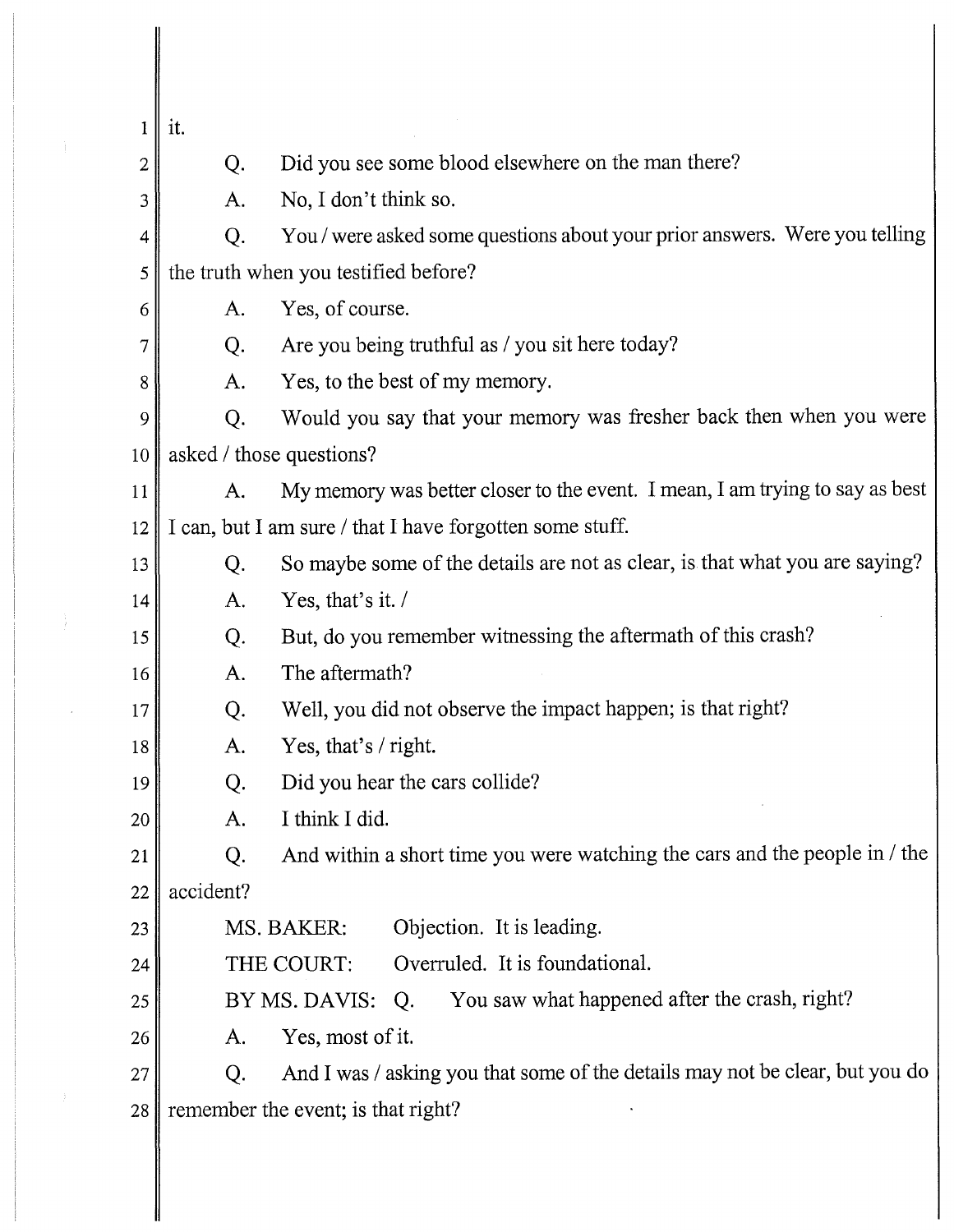| $\mathbf{1}$ | it.                                                                                |
|--------------|------------------------------------------------------------------------------------|
| 2            | Did you see some blood elsewhere on the man there?<br>Q.                           |
| 3            | No, I don't think so.<br>A.                                                        |
| 4            | You / were asked some questions about your prior answers. Were you telling<br>Q.   |
| 5            | the truth when you testified before?                                               |
| 6            | Yes, of course.<br>A.                                                              |
| 7            | Are you being truthful as / you sit here today?<br>Q.                              |
| 8            | Yes, to the best of my memory.<br>A.                                               |
| 9            | Would you say that your memory was fresher back then when you were<br>Q.           |
| 10           | asked / those questions?                                                           |
| 11           | My memory was better closer to the event. I mean, I am trying to say as best<br>A. |
| 12           | I can, but I am sure / that I have forgotten some stuff.                           |
| 13           | So maybe some of the details are not as clear, is that what you are saying?<br>Q.  |
| 14           | Yes, that's it. $\prime$<br>A.                                                     |
| 15           | But, do you remember witnessing the aftermath of this crash?<br>Q.                 |
| 16           | The aftermath?<br>A.                                                               |
| 17           | Well, you did not observe the impact happen; is that right?<br>Q.                  |
| 18           | Yes, that's / right.<br>A.                                                         |
| 19           | Did you hear the cars collide?<br>Q.                                               |
| 20           | I think I did.<br>A.                                                               |
| 21           | And within a short time you were watching the cars and the people in / the<br>Q.   |
| 22           | accident?                                                                          |
| 23           | Objection. It is leading.<br>MS. BAKER:                                            |
| 24           | Overruled. It is foundational.<br>THE COURT:                                       |
| 25           | You saw what happened after the crash, right?<br>BY MS. DAVIS:<br>Q.               |
| 26           | Yes, most of it.<br>A.                                                             |
| 27           | And I was / asking you that some of the details may not be clear, but you do<br>Q. |
| 28           | remember the event; is that right?                                                 |